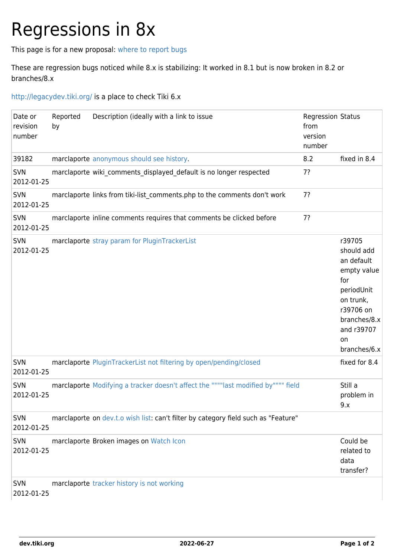## Regressions in 8x

This page is for a new proposal: [where to report bugs](https://dev.tiki.org/Where-to-report-bugs)

These are regression bugs noticed while 8.x is stabilizing: It worked in 8.1 but is now broken in 8.2 or branches/8.x

<http://legacydev.tiki.org/> is a place to check Tiki 6.x

| Date or<br>revision<br>number | Reported<br>by | Description (ideally with a link to issue                                          | <b>Regression Status</b><br>from<br>version<br>number |                                                                                                                                                      |
|-------------------------------|----------------|------------------------------------------------------------------------------------|-------------------------------------------------------|------------------------------------------------------------------------------------------------------------------------------------------------------|
| 39182                         |                | marclaporte anonymous should see history.                                          | 8.2                                                   | fixed in 8.4                                                                                                                                         |
| SVN<br>2012-01-25             |                | marclaporte wiki_comments_displayed_default is no longer respected                 | 7?                                                    |                                                                                                                                                      |
| SVN<br>2012-01-25             |                | marclaporte links from tiki-list_comments.php to the comments don't work           | 7?                                                    |                                                                                                                                                      |
| SVN<br>2012-01-25             |                | marclaporte inline comments requires that comments be clicked before               | 7?                                                    |                                                                                                                                                      |
| <b>SVN</b><br>2012-01-25      |                | marclaporte stray param for PluginTrackerList                                      |                                                       | r39705<br>should add<br>an default<br>empty value<br>for<br>periodUnit<br>on trunk,<br>r39706 on<br>branches/8.x<br>and r39707<br>on<br>branches/6.x |
| SVN<br>2012-01-25             |                | marclaporte PluginTrackerList not filtering by open/pending/closed                 |                                                       | fixed for 8.4                                                                                                                                        |
| SVN<br>2012-01-25             |                | marclaporte Modifying a tracker doesn't affect the """"last modified by"""" field  |                                                       | Still a<br>problem in<br>9.x                                                                                                                         |
| SVN<br>2012-01-25             |                | marclaporte on dev.t.o wish list: can't filter by category field such as "Feature" |                                                       |                                                                                                                                                      |
| SVN<br>2012-01-25             |                | marclaporte Broken images on Watch Icon                                            |                                                       | Could be<br>related to<br>data<br>transfer?                                                                                                          |
| <b>SVN</b><br>2012-01-25      |                | marclaporte tracker history is not working                                         |                                                       |                                                                                                                                                      |